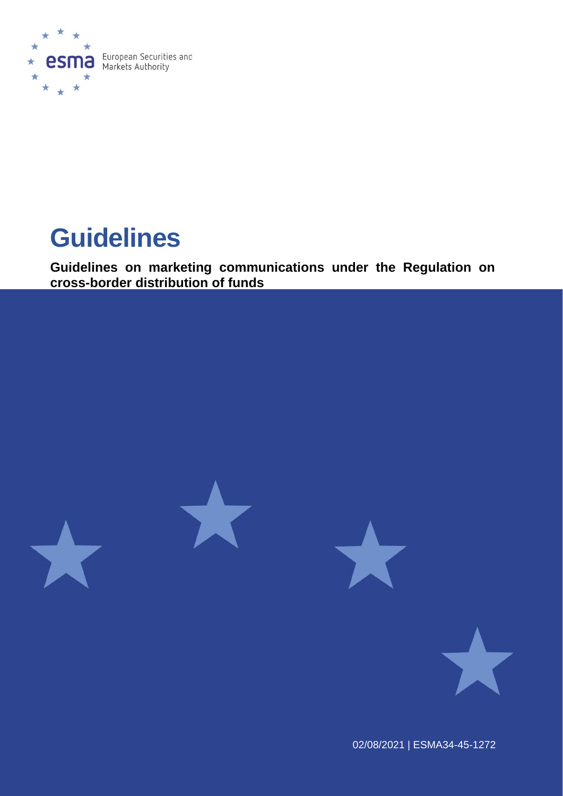

# **Guidelines**

**Guidelines on marketing communications under the Regulation on cross-border distribution of funds**





02/08/2021 | ESMA34-45-1272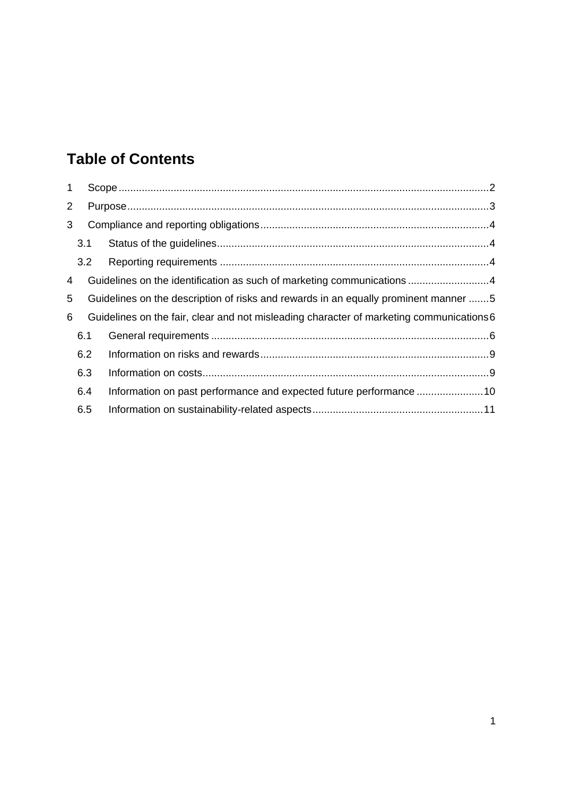# **Table of Contents**

| $\mathbf{1}$   |                                                                                               |     |                                                                                     |  |
|----------------|-----------------------------------------------------------------------------------------------|-----|-------------------------------------------------------------------------------------|--|
| $\overline{2}$ |                                                                                               |     |                                                                                     |  |
| 3              |                                                                                               |     |                                                                                     |  |
|                | 3.1                                                                                           |     |                                                                                     |  |
|                |                                                                                               | 3.2 |                                                                                     |  |
| 4              |                                                                                               |     | Guidelines on the identification as such of marketing communications4               |  |
| 5              |                                                                                               |     | Guidelines on the description of risks and rewards in an equally prominent manner 5 |  |
|                | Guidelines on the fair, clear and not misleading character of marketing communications 6<br>6 |     |                                                                                     |  |
|                | 6.1                                                                                           |     |                                                                                     |  |
|                |                                                                                               | 6.2 |                                                                                     |  |
|                | 6.3                                                                                           |     |                                                                                     |  |
|                | 6.4                                                                                           |     | Information on past performance and expected future performance 10                  |  |
|                | 6.5                                                                                           |     |                                                                                     |  |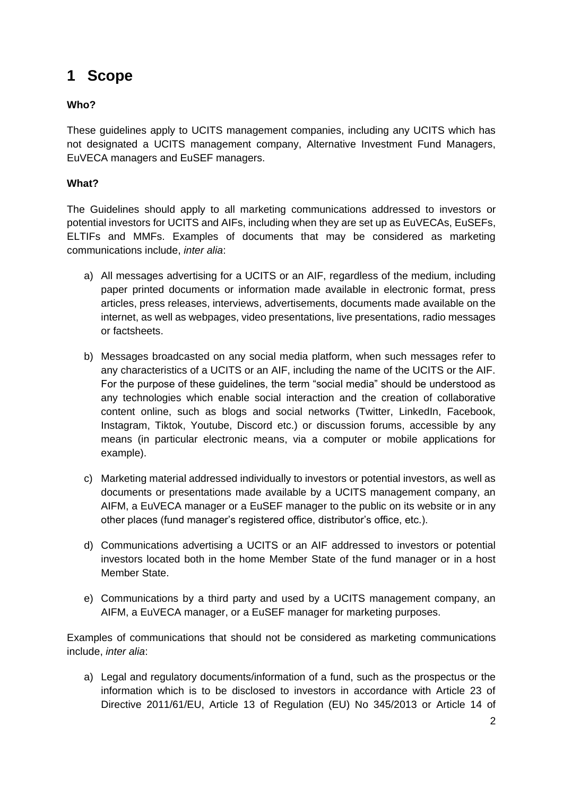# <span id="page-2-0"></span>**1 Scope**

### **Who?**

These guidelines apply to UCITS management companies, including any UCITS which has not designated a UCITS management company, Alternative Investment Fund Managers, EuVECA managers and EuSEF managers.

### **What?**

The Guidelines should apply to all marketing communications addressed to investors or potential investors for UCITS and AIFs, including when they are set up as EuVECAs, EuSEFs, ELTIFs and MMFs. Examples of documents that may be considered as marketing communications include, *inter alia*:

- a) All messages advertising for a UCITS or an AIF, regardless of the medium, including paper printed documents or information made available in electronic format, press articles, press releases, interviews, advertisements, documents made available on the internet, as well as webpages, video presentations, live presentations, radio messages or factsheets.
- b) Messages broadcasted on any social media platform, when such messages refer to any characteristics of a UCITS or an AIF, including the name of the UCITS or the AIF. For the purpose of these guidelines, the term "social media" should be understood as any technologies which enable social interaction and the creation of collaborative content online, such as blogs and social networks (Twitter, LinkedIn, Facebook, Instagram, Tiktok, Youtube, Discord etc.) or discussion forums, accessible by any means (in particular electronic means, via a computer or mobile applications for example).
- c) Marketing material addressed individually to investors or potential investors, as well as documents or presentations made available by a UCITS management company, an AIFM, a EuVECA manager or a EuSEF manager to the public on its website or in any other places (fund manager's registered office, distributor's office, etc.).
- d) Communications advertising a UCITS or an AIF addressed to investors or potential investors located both in the home Member State of the fund manager or in a host Member State.
- e) Communications by a third party and used by a UCITS management company, an AIFM, a EuVECA manager, or a EuSEF manager for marketing purposes.

Examples of communications that should not be considered as marketing communications include, *inter alia*:

a) Legal and regulatory documents/information of a fund, such as the prospectus or the information which is to be disclosed to investors in accordance with Article 23 of Directive 2011/61/EU, Article 13 of Regulation (EU) No 345/2013 or Article 14 of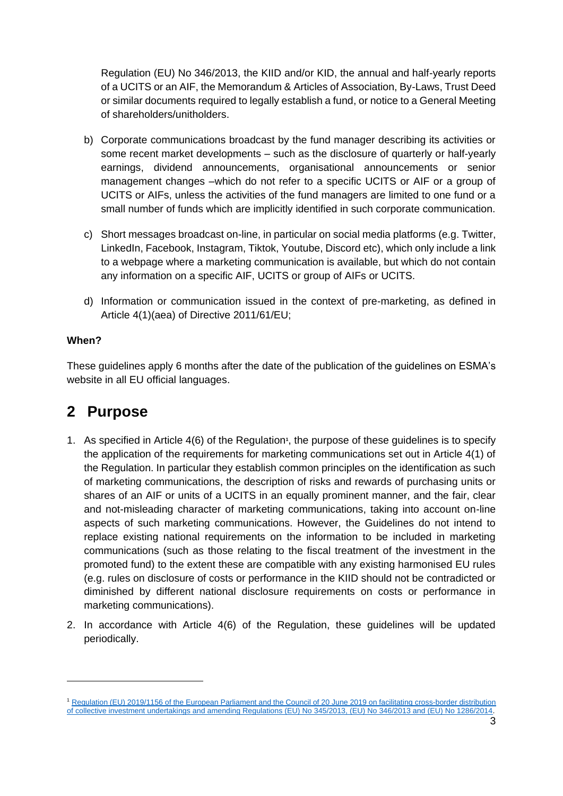Regulation (EU) No 346/2013, the KIID and/or KID, the annual and half-yearly reports of a UCITS or an AIF, the Memorandum & Articles of Association, By-Laws, Trust Deed or similar documents required to legally establish a fund, or notice to a General Meeting of shareholders/unitholders.

- b) Corporate communications broadcast by the fund manager describing its activities or some recent market developments – such as the disclosure of quarterly or half-yearly earnings, dividend announcements, organisational announcements or senior management changes –which do not refer to a specific UCITS or AIF or a group of UCITS or AIFs, unless the activities of the fund managers are limited to one fund or a small number of funds which are implicitly identified in such corporate communication.
- c) Short messages broadcast on-line, in particular on social media platforms (e.g. Twitter, LinkedIn, Facebook, Instagram, Tiktok, Youtube, Discord etc), which only include a link to a webpage where a marketing communication is available, but which do not contain any information on a specific AIF, UCITS or group of AIFs or UCITS.
- d) Information or communication issued in the context of pre-marketing, as defined in Article 4(1)(aea) of Directive 2011/61/EU;

#### **When?**

These guidelines apply 6 months after the date of the publication of the guidelines on ESMA's website in all EU official languages.

## <span id="page-3-0"></span>**2 Purpose**

- 1. As specified in Article 4(6) of the Regulation<sup>1</sup>, the purpose of these guidelines is to specify the application of the requirements for marketing communications set out in Article 4(1) of the Regulation. In particular they establish common principles on the identification as such of marketing communications, the description of risks and rewards of purchasing units or shares of an AIF or units of a UCITS in an equally prominent manner, and the fair, clear and not-misleading character of marketing communications, taking into account on-line aspects of such marketing communications. However, the Guidelines do not intend to replace existing national requirements on the information to be included in marketing communications (such as those relating to the fiscal treatment of the investment in the promoted fund) to the extent these are compatible with any existing harmonised EU rules (e.g. rules on disclosure of costs or performance in the KIID should not be contradicted or diminished by different national disclosure requirements on costs or performance in marketing communications).
- 2. In accordance with Article 4(6) of the Regulation, these guidelines will be updated periodically.

<sup>&</sup>lt;sup>1</sup> Regulation (EU) 2019/1156 of the European Parliament and the Council of 20 June 2019 on facilitating cross-border distribution [of collective investment undertakings and amending Regulations \(EU\) No 345/2013, \(EU\) No 346/2013 and \(EU\) No 1286/2014.](https://eur-lex.europa.eu/legal-content/EN/TXT/?uri=CELEX%3A32019R1156)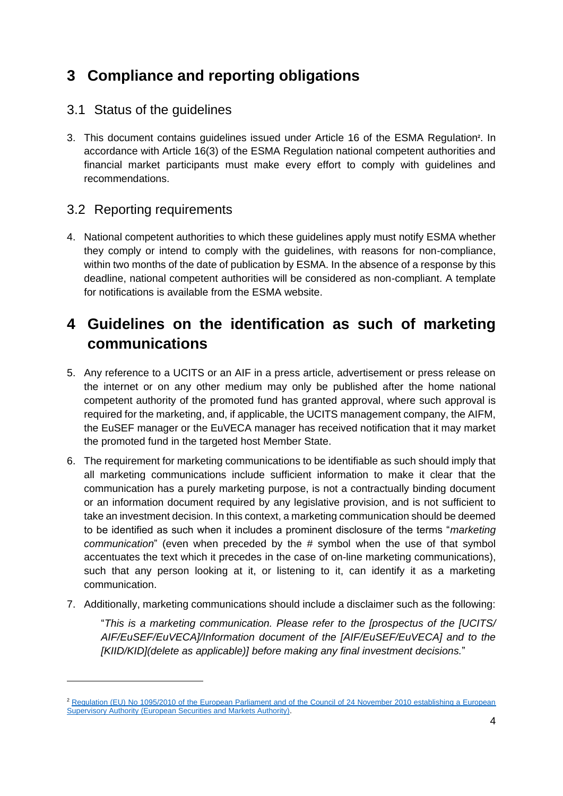# <span id="page-4-0"></span>**3 Compliance and reporting obligations**

### <span id="page-4-1"></span>3.1 Status of the guidelines

3. This document contains guidelines issued under Article 16 of the ESMA Regulation**<sup>2</sup>** . In accordance with Article 16(3) of the ESMA Regulation national competent authorities and financial market participants must make every effort to comply with guidelines and recommendations.

### <span id="page-4-2"></span>3.2 Reporting requirements

4. National competent authorities to which these guidelines apply must notify ESMA whether they comply or intend to comply with the guidelines, with reasons for non-compliance, within two months of the date of publication by ESMA. In the absence of a response by this deadline, national competent authorities will be considered as non-compliant. A template for notifications is available from the ESMA website.

# <span id="page-4-3"></span>**4 Guidelines on the identification as such of marketing communications**

- 5. Any reference to a UCITS or an AIF in a press article, advertisement or press release on the internet or on any other medium may only be published after the home national competent authority of the promoted fund has granted approval, where such approval is required for the marketing, and, if applicable, the UCITS management company, the AIFM, the EuSEF manager or the EuVECA manager has received notification that it may market the promoted fund in the targeted host Member State.
- 6. The requirement for marketing communications to be identifiable as such should imply that all marketing communications include sufficient information to make it clear that the communication has a purely marketing purpose, is not a contractually binding document or an information document required by any legislative provision, and is not sufficient to take an investment decision. In this context, a marketing communication should be deemed to be identified as such when it includes a prominent disclosure of the terms "*marketing communication*" (even when preceded by the # symbol when the use of that symbol accentuates the text which it precedes in the case of on-line marketing communications), such that any person looking at it, or listening to it, can identify it as a marketing communication.
- 7. Additionally, marketing communications should include a disclaimer such as the following:

"*This is a marketing communication. Please refer to the [prospectus of the [UCITS/ AIF/EuSEF/EuVECA]/Information document of the [AIF/EuSEF/EuVECA] and to the [KIID/KID](delete as applicable)] before making any final investment decisions.*"

<sup>2</sup> [Regulation \(EU\) No 1095/2010 of the European Parliament and of the Council of 24 November 2010 establishing a European](https://eur-lex.europa.eu/legal-content/EN/TXT/?uri=celex%3A32010R1095)  [Supervisory Authority \(European Securities and Markets Authority\).](https://eur-lex.europa.eu/legal-content/EN/TXT/?uri=celex%3A32010R1095)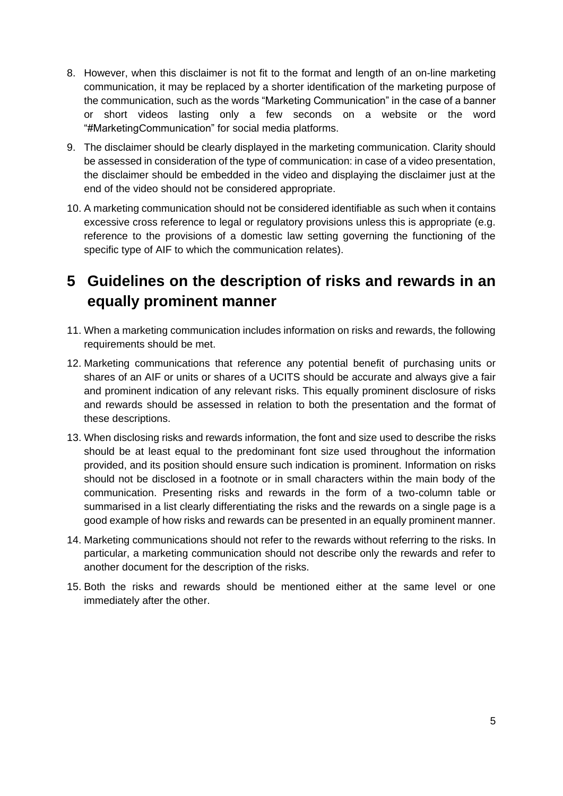- 8. However, when this disclaimer is not fit to the format and length of an on-line marketing communication, it may be replaced by a shorter identification of the marketing purpose of the communication, such as the words "Marketing Communication" in the case of a banner or short videos lasting only a few seconds on a website or the word "#MarketingCommunication" for social media platforms.
- 9. The disclaimer should be clearly displayed in the marketing communication. Clarity should be assessed in consideration of the type of communication: in case of a video presentation, the disclaimer should be embedded in the video and displaying the disclaimer just at the end of the video should not be considered appropriate.
- 10. A marketing communication should not be considered identifiable as such when it contains excessive cross reference to legal or regulatory provisions unless this is appropriate (e.g. reference to the provisions of a domestic law setting governing the functioning of the specific type of AIF to which the communication relates).

# <span id="page-5-0"></span>**5 Guidelines on the description of risks and rewards in an equally prominent manner**

- 11. When a marketing communication includes information on risks and rewards, the following requirements should be met.
- 12. Marketing communications that reference any potential benefit of purchasing units or shares of an AIF or units or shares of a UCITS should be accurate and always give a fair and prominent indication of any relevant risks. This equally prominent disclosure of risks and rewards should be assessed in relation to both the presentation and the format of these descriptions.
- 13. When disclosing risks and rewards information, the font and size used to describe the risks should be at least equal to the predominant font size used throughout the information provided, and its position should ensure such indication is prominent. Information on risks should not be disclosed in a footnote or in small characters within the main body of the communication. Presenting risks and rewards in the form of a two-column table or summarised in a list clearly differentiating the risks and the rewards on a single page is a good example of how risks and rewards can be presented in an equally prominent manner.
- 14. Marketing communications should not refer to the rewards without referring to the risks. In particular, a marketing communication should not describe only the rewards and refer to another document for the description of the risks.
- 15. Both the risks and rewards should be mentioned either at the same level or one immediately after the other.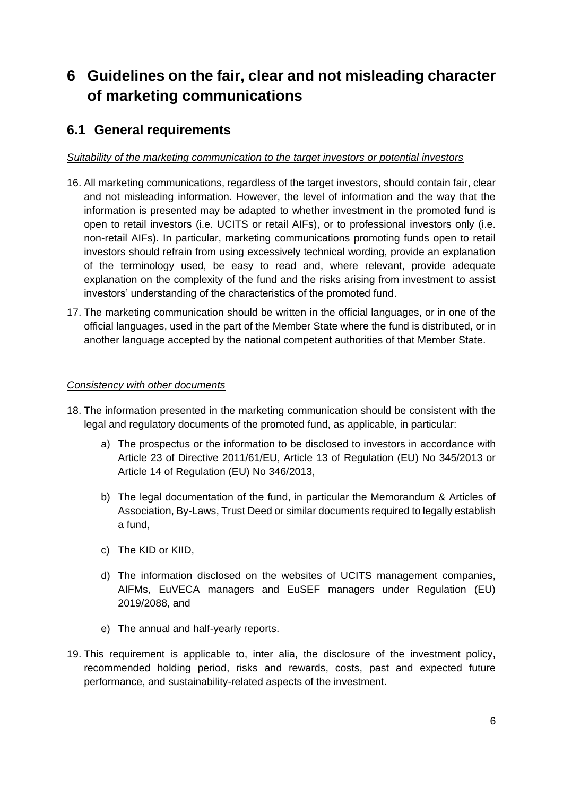# <span id="page-6-0"></span>**6 Guidelines on the fair, clear and not misleading character of marketing communications**

### <span id="page-6-1"></span>**6.1 General requirements**

#### *Suitability of the marketing communication to the target investors or potential investors*

- 16. All marketing communications, regardless of the target investors, should contain fair, clear and not misleading information. However, the level of information and the way that the information is presented may be adapted to whether investment in the promoted fund is open to retail investors (i.e. UCITS or retail AIFs), or to professional investors only (i.e. non-retail AIFs). In particular, marketing communications promoting funds open to retail investors should refrain from using excessively technical wording, provide an explanation of the terminology used, be easy to read and, where relevant, provide adequate explanation on the complexity of the fund and the risks arising from investment to assist investors' understanding of the characteristics of the promoted fund.
- 17. The marketing communication should be written in the official languages, or in one of the official languages, used in the part of the Member State where the fund is distributed, or in another language accepted by the national competent authorities of that Member State.

#### *Consistency with other documents*

- 18. The information presented in the marketing communication should be consistent with the legal and regulatory documents of the promoted fund, as applicable, in particular:
	- a) The prospectus or the information to be disclosed to investors in accordance with Article 23 of Directive 2011/61/EU, Article 13 of Regulation (EU) No 345/2013 or Article 14 of Regulation (EU) No 346/2013,
	- b) The legal documentation of the fund, in particular the Memorandum & Articles of Association, By-Laws, Trust Deed or similar documents required to legally establish a fund,
	- c) The KID or KIID,
	- d) The information disclosed on the websites of UCITS management companies, AIFMs, EuVECA managers and EuSEF managers under Regulation (EU) 2019/2088, and
	- e) The annual and half-yearly reports.
- 19. This requirement is applicable to, inter alia, the disclosure of the investment policy, recommended holding period, risks and rewards, costs, past and expected future performance, and sustainability-related aspects of the investment.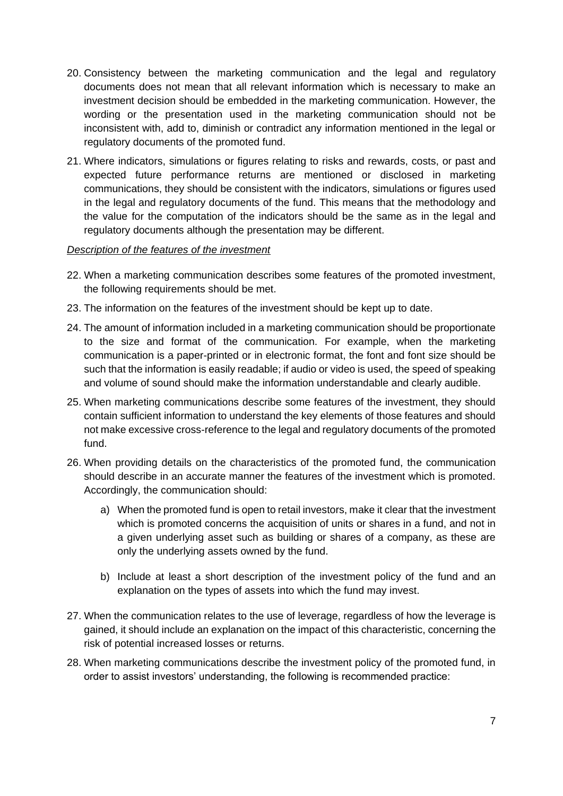- 20. Consistency between the marketing communication and the legal and regulatory documents does not mean that all relevant information which is necessary to make an investment decision should be embedded in the marketing communication. However, the wording or the presentation used in the marketing communication should not be inconsistent with, add to, diminish or contradict any information mentioned in the legal or regulatory documents of the promoted fund.
- 21. Where indicators, simulations or figures relating to risks and rewards, costs, or past and expected future performance returns are mentioned or disclosed in marketing communications, they should be consistent with the indicators, simulations or figures used in the legal and regulatory documents of the fund. This means that the methodology and the value for the computation of the indicators should be the same as in the legal and regulatory documents although the presentation may be different.

#### *Description of the features of the investment*

- 22. When a marketing communication describes some features of the promoted investment, the following requirements should be met.
- 23. The information on the features of the investment should be kept up to date.
- 24. The amount of information included in a marketing communication should be proportionate to the size and format of the communication. For example, when the marketing communication is a paper-printed or in electronic format, the font and font size should be such that the information is easily readable; if audio or video is used, the speed of speaking and volume of sound should make the information understandable and clearly audible.
- 25. When marketing communications describe some features of the investment, they should contain sufficient information to understand the key elements of those features and should not make excessive cross-reference to the legal and regulatory documents of the promoted fund.
- 26. When providing details on the characteristics of the promoted fund, the communication should describe in an accurate manner the features of the investment which is promoted. Accordingly, the communication should:
	- a) When the promoted fund is open to retail investors, make it clear that the investment which is promoted concerns the acquisition of units or shares in a fund, and not in a given underlying asset such as building or shares of a company, as these are only the underlying assets owned by the fund.
	- b) Include at least a short description of the investment policy of the fund and an explanation on the types of assets into which the fund may invest.
- 27. When the communication relates to the use of leverage, regardless of how the leverage is gained, it should include an explanation on the impact of this characteristic, concerning the risk of potential increased losses or returns.
- 28. When marketing communications describe the investment policy of the promoted fund, in order to assist investors' understanding, the following is recommended practice: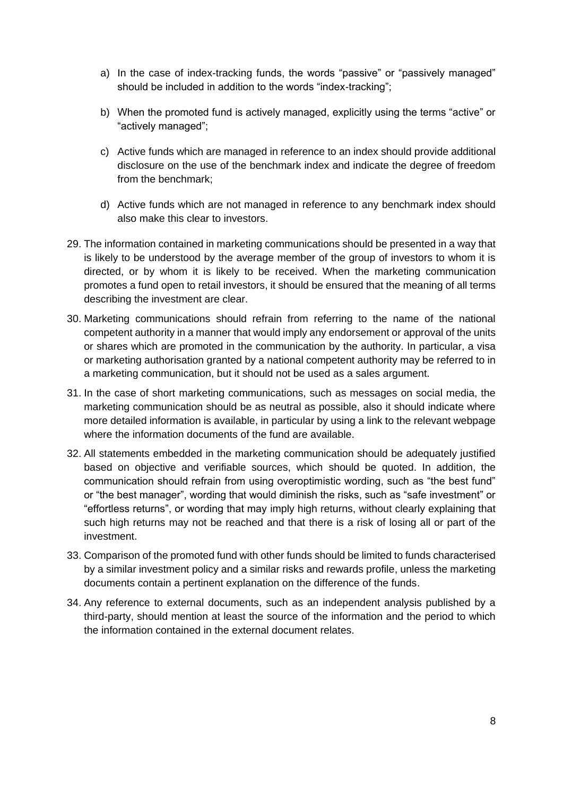- a) In the case of index-tracking funds, the words "passive" or "passively managed" should be included in addition to the words "index-tracking";
- b) When the promoted fund is actively managed, explicitly using the terms "active" or "actively managed";
- c) Active funds which are managed in reference to an index should provide additional disclosure on the use of the benchmark index and indicate the degree of freedom from the benchmark;
- d) Active funds which are not managed in reference to any benchmark index should also make this clear to investors.
- 29. The information contained in marketing communications should be presented in a way that is likely to be understood by the average member of the group of investors to whom it is directed, or by whom it is likely to be received. When the marketing communication promotes a fund open to retail investors, it should be ensured that the meaning of all terms describing the investment are clear.
- 30. Marketing communications should refrain from referring to the name of the national competent authority in a manner that would imply any endorsement or approval of the units or shares which are promoted in the communication by the authority. In particular, a visa or marketing authorisation granted by a national competent authority may be referred to in a marketing communication, but it should not be used as a sales argument.
- 31. In the case of short marketing communications, such as messages on social media, the marketing communication should be as neutral as possible, also it should indicate where more detailed information is available, in particular by using a link to the relevant webpage where the information documents of the fund are available.
- 32. All statements embedded in the marketing communication should be adequately justified based on objective and verifiable sources, which should be quoted. In addition, the communication should refrain from using overoptimistic wording, such as "the best fund" or "the best manager", wording that would diminish the risks, such as "safe investment" or "effortless returns", or wording that may imply high returns, without clearly explaining that such high returns may not be reached and that there is a risk of losing all or part of the investment.
- 33. Comparison of the promoted fund with other funds should be limited to funds characterised by a similar investment policy and a similar risks and rewards profile, unless the marketing documents contain a pertinent explanation on the difference of the funds.
- 34. Any reference to external documents, such as an independent analysis published by a third-party, should mention at least the source of the information and the period to which the information contained in the external document relates.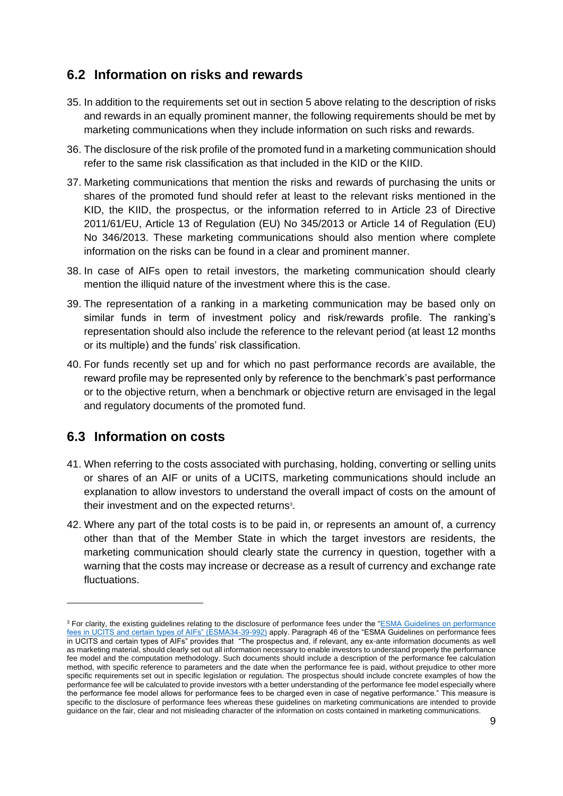### <span id="page-9-0"></span>**6.2 Information on risks and rewards**

- 35. In addition to the requirements set out in section 5 above relating to the description of risks and rewards in an equally prominent manner, the following requirements should be met by marketing communications when they include information on such risks and rewards.
- 36. The disclosure of the risk profile of the promoted fund in a marketing communication should refer to the same risk classification as that included in the KID or the KIID.
- 37. Marketing communications that mention the risks and rewards of purchasing the units or shares of the promoted fund should refer at least to the relevant risks mentioned in the KID, the KIID, the prospectus, or the information referred to in Article 23 of Directive 2011/61/EU, Article 13 of Regulation (EU) No 345/2013 or Article 14 of Regulation (EU) No 346/2013. These marketing communications should also mention where complete information on the risks can be found in a clear and prominent manner.
- 38. In case of AIFs open to retail investors, the marketing communication should clearly mention the illiquid nature of the investment where this is the case.
- 39. The representation of a ranking in a marketing communication may be based only on similar funds in term of investment policy and risk/rewards profile. The ranking's representation should also include the reference to the relevant period (at least 12 months or its multiple) and the funds' risk classification.
- 40. For funds recently set up and for which no past performance records are available, the reward profile may be represented only by reference to the benchmark's past performance or to the objective return, when a benchmark or objective return are envisaged in the legal and regulatory documents of the promoted fund.

### <span id="page-9-1"></span>**6.3 Information on costs**

- 41. When referring to the costs associated with purchasing, holding, converting or selling units or shares of an AIF or units of a UCITS, marketing communications should include an explanation to allow investors to understand the overall impact of costs on the amount of their investment and on the expected returns<sup>3</sup>.
- 42. Where any part of the total costs is to be paid in, or represents an amount of, a currency other than that of the Member State in which the target investors are residents, the marketing communication should clearly state the currency in question, together with a warning that the costs may increase or decrease as a result of currency and exchange rate fluctuations.

<sup>&</sup>lt;sup>3</sup> For clarity, the existing guidelines relating to the disclosure of performance fees under the "ESMA Guidelines on performance [fees in UCITS and certain types of AIFs" \(ESMA34-39-992\)](https://www.esma.europa.eu/sites/default/files/library/esma34-39-992_guidelines_on_performance_fees_en.pdf) apply. Paragraph 46 of the "ESMA Guidelines on performance fees in UCITS and certain types of AIFs" provides that "The prospectus and, if relevant, any ex-ante information documents as well as marketing material, should clearly set out all information necessary to enable investors to understand properly the performance fee model and the computation methodology. Such documents should include a description of the performance fee calculation method, with specific reference to parameters and the date when the performance fee is paid, without prejudice to other more specific requirements set out in specific legislation or regulation. The prospectus should include concrete examples of how the performance fee will be calculated to provide investors with a better understanding of the performance fee model especially where the performance fee model allows for performance fees to be charged even in case of negative performance." This measure is specific to the disclosure of performance fees whereas these guidelines on marketing communications are intended to provide guidance on the fair, clear and not misleading character of the information on costs contained in marketing communications.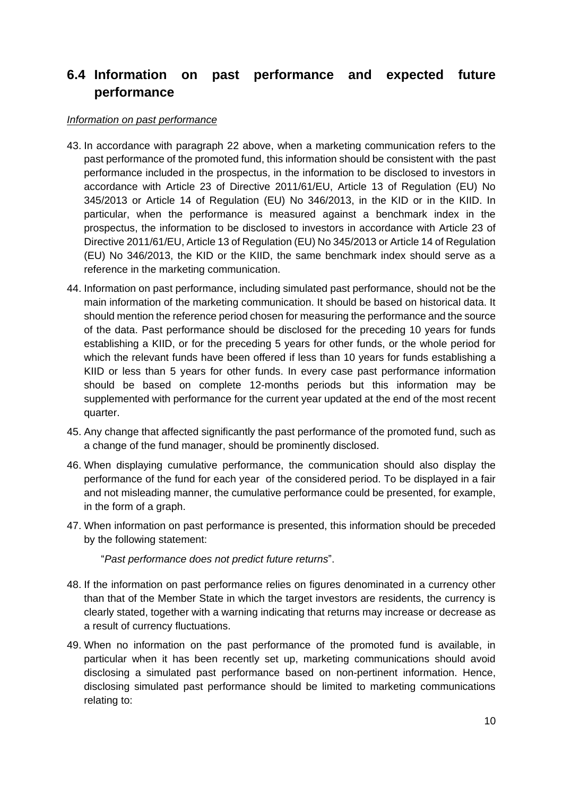### <span id="page-10-0"></span>**6.4 Information on past performance and expected future performance**

#### *Information on past performance*

- 43. In accordance with paragraph 22 above, when a marketing communication refers to the past performance of the promoted fund, this information should be consistent with the past performance included in the prospectus, in the information to be disclosed to investors in accordance with Article 23 of Directive 2011/61/EU, Article 13 of Regulation (EU) No 345/2013 or Article 14 of Regulation (EU) No 346/2013, in the KID or in the KIID. In particular, when the performance is measured against a benchmark index in the prospectus, the information to be disclosed to investors in accordance with Article 23 of Directive 2011/61/EU, Article 13 of Regulation (EU) No 345/2013 or Article 14 of Regulation (EU) No 346/2013, the KID or the KIID, the same benchmark index should serve as a reference in the marketing communication.
- 44. Information on past performance, including simulated past performance, should not be the main information of the marketing communication. It should be based on historical data. It should mention the reference period chosen for measuring the performance and the source of the data. Past performance should be disclosed for the preceding 10 years for funds establishing a KIID, or for the preceding 5 years for other funds, or the whole period for which the relevant funds have been offered if less than 10 years for funds establishing a KIID or less than 5 years for other funds. In every case past performance information should be based on complete 12-months periods but this information may be supplemented with performance for the current year updated at the end of the most recent quarter.
- 45. Any change that affected significantly the past performance of the promoted fund, such as a change of the fund manager, should be prominently disclosed.
- 46. When displaying cumulative performance, the communication should also display the performance of the fund for each year of the considered period. To be displayed in a fair and not misleading manner, the cumulative performance could be presented, for example, in the form of a graph.
- 47. When information on past performance is presented, this information should be preceded by the following statement:

"*Past performance does not predict future returns*".

- 48. If the information on past performance relies on figures denominated in a currency other than that of the Member State in which the target investors are residents, the currency is clearly stated, together with a warning indicating that returns may increase or decrease as a result of currency fluctuations.
- 49. When no information on the past performance of the promoted fund is available, in particular when it has been recently set up, marketing communications should avoid disclosing a simulated past performance based on non-pertinent information. Hence, disclosing simulated past performance should be limited to marketing communications relating to: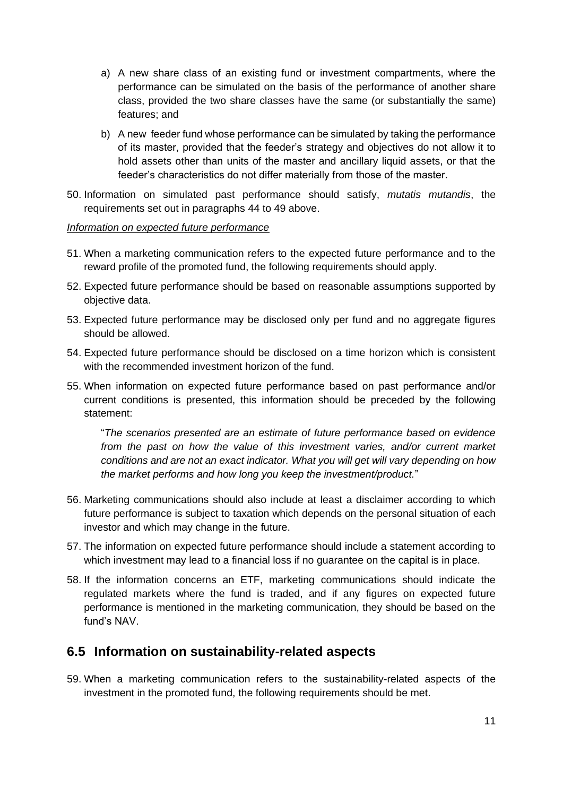- a) A new share class of an existing fund or investment compartments, where the performance can be simulated on the basis of the performance of another share class, provided the two share classes have the same (or substantially the same) features; and
- b) A new feeder fund whose performance can be simulated by taking the performance of its master, provided that the feeder's strategy and objectives do not allow it to hold assets other than units of the master and ancillary liquid assets, or that the feeder's characteristics do not differ materially from those of the master.
- 50. Information on simulated past performance should satisfy, *mutatis mutandis*, the requirements set out in paragraphs 44 to 49 above.

#### *Information on expected future performance*

- 51. When a marketing communication refers to the expected future performance and to the reward profile of the promoted fund, the following requirements should apply.
- 52. Expected future performance should be based on reasonable assumptions supported by objective data.
- 53. Expected future performance may be disclosed only per fund and no aggregate figures should be allowed.
- 54. Expected future performance should be disclosed on a time horizon which is consistent with the recommended investment horizon of the fund.
- 55. When information on expected future performance based on past performance and/or current conditions is presented, this information should be preceded by the following statement:

"*The scenarios presented are an estimate of future performance based on evidence from the past on how the value of this investment varies, and/or current market conditions and are not an exact indicator. What you will get will vary depending on how the market performs and how long you keep the investment/product.*"

- 56. Marketing communications should also include at least a disclaimer according to which future performance is subject to taxation which depends on the personal situation of each investor and which may change in the future.
- 57. The information on expected future performance should include a statement according to which investment may lead to a financial loss if no guarantee on the capital is in place.
- 58. If the information concerns an ETF, marketing communications should indicate the regulated markets where the fund is traded, and if any figures on expected future performance is mentioned in the marketing communication, they should be based on the fund's NAV.

### <span id="page-11-0"></span>**6.5 Information on sustainability-related aspects**

59. When a marketing communication refers to the sustainability-related aspects of the investment in the promoted fund, the following requirements should be met.